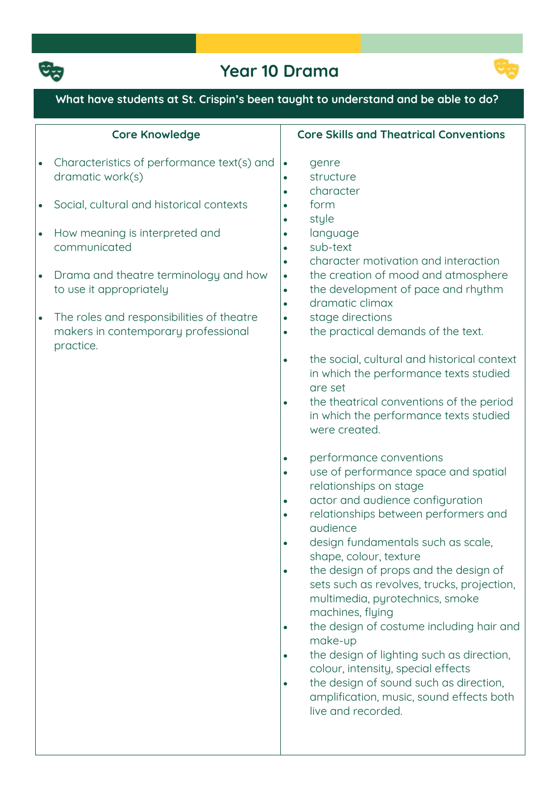

# **Year 10 Drama**



## **What have students at St. Crispin's been taught to understand and be able to do?**

|                                     | <b>Core Knowledge</b>                                                                                                                                                                                               | <b>Core Skills and Theatrical Conventions</b>                                                                                                                                                                                                                                                                                                                                                                                                                                                                                                                                                                                                                                                                                                                                                                                                                                                                                                                                                                                                                                                                                                                                                                                                                                                                                                 |
|-------------------------------------|---------------------------------------------------------------------------------------------------------------------------------------------------------------------------------------------------------------------|-----------------------------------------------------------------------------------------------------------------------------------------------------------------------------------------------------------------------------------------------------------------------------------------------------------------------------------------------------------------------------------------------------------------------------------------------------------------------------------------------------------------------------------------------------------------------------------------------------------------------------------------------------------------------------------------------------------------------------------------------------------------------------------------------------------------------------------------------------------------------------------------------------------------------------------------------------------------------------------------------------------------------------------------------------------------------------------------------------------------------------------------------------------------------------------------------------------------------------------------------------------------------------------------------------------------------------------------------|
| $\bullet$                           | Characteristics of performance text(s) and<br>dramatic work(s)                                                                                                                                                      | genre<br>$\bullet$<br>structure<br>$\bullet$<br>character                                                                                                                                                                                                                                                                                                                                                                                                                                                                                                                                                                                                                                                                                                                                                                                                                                                                                                                                                                                                                                                                                                                                                                                                                                                                                     |
|                                     | Social, cultural and historical contexts                                                                                                                                                                            | $\bullet$<br>form<br>$\bullet$                                                                                                                                                                                                                                                                                                                                                                                                                                                                                                                                                                                                                                                                                                                                                                                                                                                                                                                                                                                                                                                                                                                                                                                                                                                                                                                |
| $\bullet$<br>$\bullet$<br>$\bullet$ | How meaning is interpreted and<br>communicated<br>Drama and theatre terminology and how<br>to use it appropriately<br>The roles and responsibilities of theatre<br>makers in contemporary professional<br>practice. | style<br>$\bullet$<br>language<br>sub-text<br>$\bullet$<br>character motivation and interaction<br>$\bullet$<br>the creation of mood and atmosphere<br>$\bullet$<br>the development of pace and rhythm<br>$\bullet$<br>dramatic climax<br>$\bullet$<br>stage directions<br>$\bullet$<br>the practical demands of the text.<br>$\bullet$<br>the social, cultural and historical context<br>$\bullet$<br>in which the performance texts studied<br>are set<br>the theatrical conventions of the period<br>$\bullet$<br>in which the performance texts studied<br>were created.<br>performance conventions<br>use of performance space and spatial<br>$\bullet$<br>relationships on stage<br>actor and audience configuration<br>$\bullet$<br>relationships between performers and<br>$\bullet$<br>audience<br>design fundamentals such as scale,<br>$\bullet$<br>shape, colour, texture<br>the design of props and the design of<br>$\bullet$<br>sets such as revolves, trucks, projection,<br>multimedia, pyrotechnics, smoke<br>machines, flying<br>the design of costume including hair and<br>$\bullet$<br>make-up<br>the design of lighting such as direction,<br>$\bullet$<br>colour, intensity, special effects<br>the design of sound such as direction,<br>$\bullet$<br>amplification, music, sound effects both<br>live and recorded. |
|                                     |                                                                                                                                                                                                                     |                                                                                                                                                                                                                                                                                                                                                                                                                                                                                                                                                                                                                                                                                                                                                                                                                                                                                                                                                                                                                                                                                                                                                                                                                                                                                                                                               |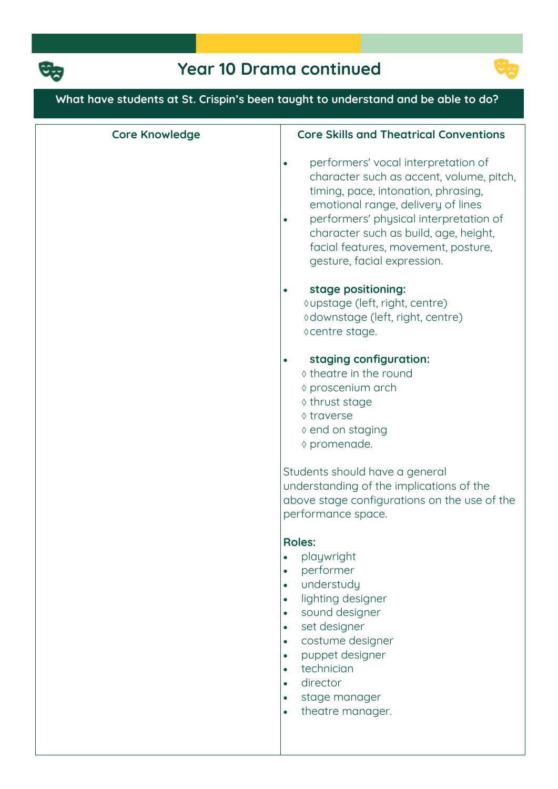



## **What have students at St. Crispin's been taught to understand and be able to do? Core Knowledge Core Skills and Theatrical Conventions performers' vocal interpretation of character such as accent, volume, pitch, timing, pace, intonation, phrasing, emotional range, delivery of lines performers' physical interpretation of character such as build, age, height, facial features, movement, posture, gesture, facial expression. stage positioning: upstage (left, right, centre) downstage (left, right, centre) centre stage. staging configuration: theatre in the round proscenium arch thrust stage traverse end on staging promenade. Students should have a general understanding of the implications of the above stage configurations on the use of the performance space. Roles: playwright performer understudy lighting designer sound designer set designer costume designer puppet designer technician director stage manager theatre manager.**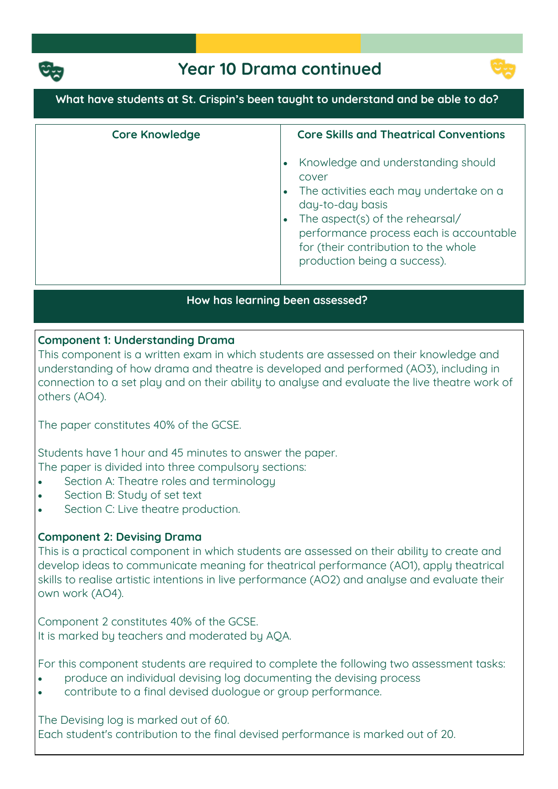

## **Year 10 Drama continued**



#### **What have students at St. Crispin's been taught to understand and be able to do?**

| <b>Core Knowledge</b> | <b>Core Skills and Theatrical Conventions</b>                                                                                                                                                                                                                   |
|-----------------------|-----------------------------------------------------------------------------------------------------------------------------------------------------------------------------------------------------------------------------------------------------------------|
|                       | Knowledge and understanding should<br>cover<br>The activities each may undertake on a<br>day-to-day basis<br>The aspect(s) of the rehearsal/<br>performance process each is accountable<br>for (their contribution to the whole<br>production being a success). |

#### **How has learning been assessed?**

#### **Component 1: Understanding Drama**

**This component is a written exam in which students are assessed on their knowledge and understanding of how drama and theatre is developed and performed (AO3), including in connection to a set play and on their ability to analyse and evaluate the live theatre work of others (AO4).**

**The paper constitutes 40% of the GCSE.**

**Students have 1 hour and 45 minutes to answer the paper. The paper is divided into three compulsory sections:**

- **Section A: Theatre roles and terminology**
- **Section B: Study of set text**
- **Section C: Live theatre production.**

#### **Component 2: Devising Drama**

**This is a practical component in which students are assessed on their ability to create and develop ideas to communicate meaning for theatrical performance (AO1), apply theatrical skills to realise artistic intentions in live performance (AO2) and analyse and evaluate their own work (AO4).**

**Component 2 constitutes 40% of the GCSE. It is marked by teachers and moderated by AQA.**

**For this component students are required to complete the following two assessment tasks:**

- **produce an individual devising log documenting the devising process**
- **contribute to a final devised duologue or group performance.**

**The Devising log is marked out of 60. Each student's contribution to the final devised performance is marked out of 20.**